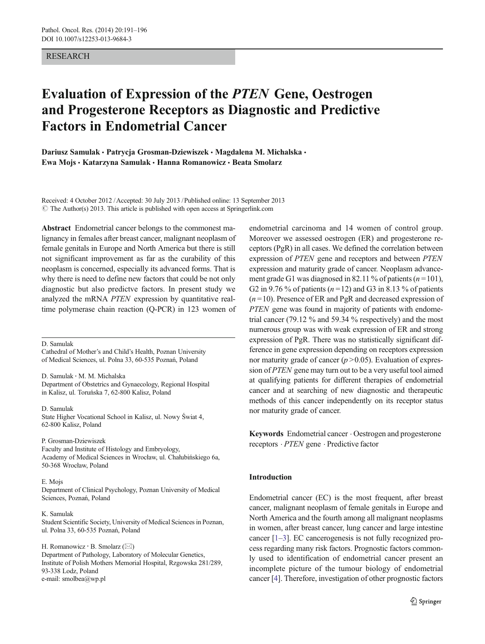# RESEARCH

# Evaluation of Expression of the PTEN Gene, Oestrogen and Progesterone Receptors as Diagnostic and Predictive Factors in Endometrial Cancer

Dariusz Samulak · Patrycja Grosman-Dziewiszek · Magdalena M. Michalska · Ewa Mojs · Katarzyna Samulak · Hanna Romanowicz · Beata Smolarz

Received: 4 October 2012 /Accepted: 30 July 2013 /Published online: 13 September 2013  $\odot$  The Author(s) 2013. This article is published with open access at Springerlink.com

Abstract Endometrial cancer belongs to the commonest malignancy in females after breast cancer, malignant neoplasm of female genitals in Europe and North America but there is still not significant improvement as far as the curability of this neoplasm is concerned, especially its advanced forms. That is why there is need to define new factors that could be not only diagnostic but also predictve factors. In present study we analyzed the mRNA PTEN expression by quantitative realtime polymerase chain reaction (Q-PCR) in 123 women of

D. Samulak

Cathedral of Mother's and Child's Health, Poznan University of Medical Sciences, ul. Polna 33, 60-535 Poznań, Poland

D. Samulak : M. M. Michalska Department of Obstetrics and Gynaecology, Regional Hospital in Kalisz, ul. Toruńska 7, 62-800 Kalisz, Poland

D. Samulak State Higher Vocational School in Kalisz, ul. Nowy Świat 4, 62-800 Kalisz, Poland

#### P. Grosman-Dziewiszek

Faculty and Institute of Histology and Embryology, Academy of Medical Sciences in Wrocław, ul. Chałubińskiego 6a, 50-368 Wrocław, Poland

#### E. Mojs

Department of Clinical Psychology, Poznan University of Medical Sciences, Poznań, Poland

#### K. Samulak

Student Scientific Society, University of Medical Sciences in Poznan, ul. Polna 33, 60-535 Poznań, Poland

H. Romanowicz  $\cdot$  B. Smolarz ( $\boxtimes$ )

Department of Pathology, Laboratory of Molecular Genetics, Institute of Polish Mothers Memorial Hospital, Rzgowska 281/289, 93-338 Lodz, Poland e-mail: smolbea@wp.pl

endometrial carcinoma and 14 women of control group. Moreover we assessed oestrogen (ER) and progesterone receptors (PgR) in all cases. We defined the correlation between expression of PTEN gene and receptors and between PTEN expression and maturity grade of cancer. Neoplasm advancement grade G1 was diagnosed in 82.11 % of patients  $(n=101)$ , G2 in 9.76 % of patients ( $n = 12$ ) and G3 in 8.13 % of patients  $(n=10)$ . Presence of ER and PgR and decreased expression of PTEN gene was found in majority of patients with endometrial cancer (79.12 % and 59.34 % respectively) and the most numerous group was with weak expression of ER and strong expression of PgR. There was no statistically significant difference in gene expression depending on receptors expression nor maturity grade of cancer  $(p > 0.05)$ . Evaluation of expression of PTEN gene may turn out to be a very useful tool aimed at qualifying patients for different therapies of endometrial cancer and at searching of new diagnostic and therapeutic methods of this cancer independently on its receptor status nor maturity grade of cancer.

Keywords Endometrial cancer . Oestrogen and progesterone receptors . PTEN gene . Predictive factor

# Introduction

Endometrial cancer (EC) is the most frequent, after breast cancer, malignant neoplasm of female genitals in Europe and North America and the fourth among all malignant neoplasms in women, after breast cancer, lung cancer and large intestine cancer [\[1](#page-4-0)–[3\]](#page-4-0). EC cancerogenesis is not fully recognized process regarding many risk factors. Prognostic factors commonly used to identification of endometrial cancer present an incomplete picture of the tumour biology of endometrial cancer [\[4](#page-4-0)]. Therefore, investigation of other prognostic factors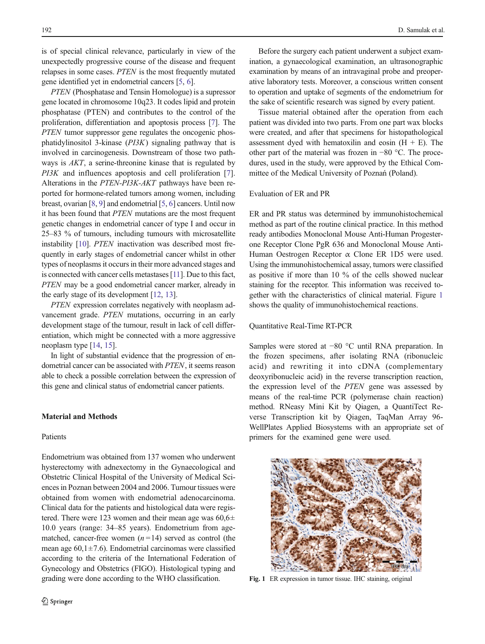is of special clinical relevance, particularly in view of the unexpectedly progressive course of the disease and frequent relapses in some cases. PTEN is the most frequently mutated gene identified yet in endometrial cancers [\[5](#page-4-0), [6](#page-5-0)].

PTEN (Phosphatase and Tensin Homologue) is a supressor gene located in chromosome 10q23. It codes lipid and protein phosphatase (PTEN) and contributes to the control of the proliferation, differentiation and apoptosis process [\[7](#page-5-0)]. The PTEN tumor suppressor gene regulates the oncogenic phosphatidylinositol 3-kinase (PI3K) signaling pathway that is involved in carcinogenesis. Downstream of those two pathways is AKT, a serine-threonine kinase that is regulated by PI3K and influences apoptosis and cell proliferation [\[7](#page-5-0)]. Alterations in the PTEN-PI3K-AKT pathways have been reported for hormone-related tumors among women, including breast, ovarian [\[8](#page-5-0), [9](#page-5-0)] and endometrial [\[5](#page-4-0), [6](#page-5-0)] cancers. Until now it has been found that PTEN mutations are the most frequent genetic changes in endometrial cancer of type I and occur in 25–83 % of tumours, including tumours with microsatellite instability [\[10](#page-5-0)]. PTEN inactivation was described most frequently in early stages of endometrial cancer whilst in other types of neoplasms it occurs in their more advanced stages and is connected with cancer cells metastases [\[11\]](#page-5-0). Due to this fact, PTEN may be a good endometrial cancer marker, already in the early stage of its development [\[12,](#page-5-0) [13\]](#page-5-0).

PTEN expression correlates negatively with neoplasm advancement grade. PTEN mutations, occurring in an early development stage of the tumour, result in lack of cell differentiation, which might be connected with a more aggressive neoplasm type [\[14](#page-5-0), [15\]](#page-5-0).

In light of substantial evidence that the progression of endometrial cancer can be associated with PTEN, it seems reason able to check a possible correlation between the expression of this gene and clinical status of endometrial cancer patients.

# Material and Methods

## Patients

Endometrium was obtained from 137 women who underwent hysterectomy with adnexectomy in the Gynaecological and Obstetric Clinical Hospital of the University of Medical Sciences in Poznan between 2004 and 2006. Tumour tissues were obtained from women with endometrial adenocarcinoma. Clinical data for the patients and histological data were registered. There were 123 women and their mean age was  $60,6\pm$ 10.0 years (range: 34–85 years). Endometrium from agematched, cancer-free women  $(n=14)$  served as control (the mean age  $60,1 \pm 7.6$ ). Endometrial carcinomas were classified according to the criteria of the International Federation of Gynecology and Obstetrics (FIGO). Histological typing and grading were done according to the WHO classification.

Before the surgery each patient underwent a subject examination, a gynaecological examination, an ultrasonographic examination by means of an intravaginal probe and preoperative laboratory tests. Moreover, a conscious written consent to operation and uptake of segments of the endometrium for the sake of scientific research was signed by every patient.

Tissue material obtained after the operation from each patient was divided into two parts. From one part wax blocks were created, and after that specimens for histopathological assessment dyed with hematoxilin and eosin  $(H + E)$ . The other part of the material was frozen in −80 °C. The procedures, used in the study, were approved by the Ethical Committee of the Medical University of Poznań (Poland).

## Evaluation of ER and PR

ER and PR status was determined by immunohistochemical method as part of the routine clinical practice. In this method ready antibodies Monoclonal Mouse Anti-Human Progesterone Receptor Clone PgR 636 and Monoclonal Mouse Anti-Human Oestrogen Receptor α Clone ER 1D5 were used. Using the immunohistochemical assay, tumors were classified as positive if more than 10 % of the cells showed nuclear staining for the receptor. This information was received together with the characteristics of clinical material. Figure 1 shows the quality of immunohistochemical reactions.

### Quantitative Real-Time RT-PCR

Samples were stored at −80 °C until RNA preparation. In the frozen specimens, after isolating RNA (ribonucleic acid) and rewriting it into cDNA (complementary deoxyribonucleic acid) in the reverse transcription reaction, the expression level of the PTEN gene was assessed by means of the real-time PCR (polymerase chain reaction) method. RNeasy Mini Kit by Qiagen, a QuantiTect Reverse Transcription kit by Qiagen, TaqMan Array 96- WellPlates Applied Biosystems with an appropriate set of primers for the examined gene were used.



Fig. 1 ER expression in tumor tissue. IHC staining, original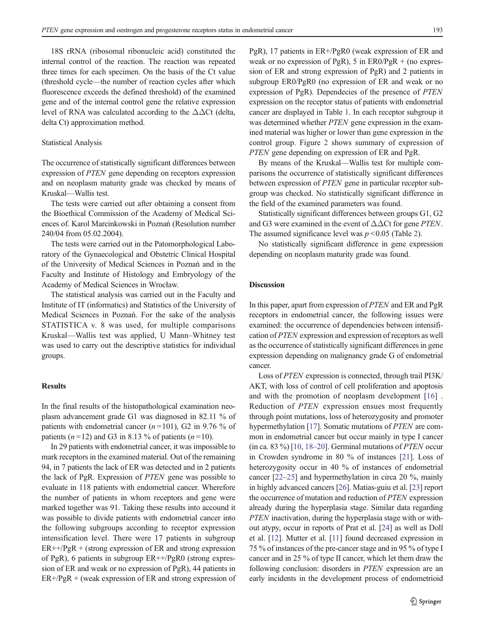18S rRNA (ribosomal ribonucleic acid) constituted the internal control of the reaction. The reaction was repeated three times for each specimen. On the basis of the Ct value (threshold cycle—the number of reaction cycles after which fluorescence exceeds the defined threshold) of the examined gene and of the internal control gene the relative expression level of RNA was calculated according to the  $\Delta\Delta$ Ct (delta, delta Ct) approximation method.

#### Statistical Analysis

The occurrence of statistically significant differences between expression of PTEN gene depending on receptors expression and on neoplasm maturity grade was checked by means of Kruskal—Wallis test.

The tests were carried out after obtaining a consent from the Bioethical Commission of the Academy of Medical Sciences of. Karol Marcinkowski in Poznań (Resolution number 240/04 from 05.02.2004).

The tests were carried out in the Patomorphological Laboratory of the Gynaecological and Obstetric Clinical Hospital of the University of Medical Sciences in Poznań and in the Faculty and Institute of Histology and Embryology of the Academy of Medical Sciences in Wrocław.

The statistical analysis was carried out in the Faculty and Institute of IT (informatics) and Statistics of the University of Medical Sciences in Poznań. For the sake of the analysis STATISTICA v. 8 was used, for multiple comparisons Kruskal—Wallis test was applied, U Mann–Whitney test was used to carry out the descriptive statistics for individual groups.

## **Results**

In the final results of the histopathological examination neoplasm advancement grade G1 was diagnosed in 82.11 % of patients with endometrial cancer  $(n=101)$ , G2 in 9.76 % of patients  $(n=12)$  and G3 in 8.13 % of patients  $(n=10)$ .

In 29 patients with endometrial cancer, it was impossible to mark receptors in the examined material. Out of the remaining 94, in 7 patients the lack of ER was detected and in 2 patients the lack of PgR. Expression of PTEN gene was possible to evaluate in 118 patients with endometrial cancer. Wherefore the number of patients in whom receptors and gene were marked together was 91. Taking these results into accound it was possible to divide patients with endometrial cancer into the following subgroups according to receptor expression intensification level. There were 17 patients in subgroup  $ER++/PgR + (strong expression of ER and strong expression)$ of PgR), 6 patients in subgroup ER++/PgR0 (strong expression of ER and weak or no expression of PgR), 44 patients in ER+/PgR + (weak expression of ER and strong expression of PgR), 17 patients in ER+/PgR0 (weak expression of ER and weak or no expression of PgR), 5 in  $ER0/PgR$  + (no expression of ER and strong expression of PgR) and 2 patients in subgroup ER0/PgR0 (no expression of ER and weak or no expression of PgR). Dependecies of the presence of PTEN expression on the receptor status of patients with endometrial cancer are displayed in Table [1](#page-3-0). In each receptor subgroup it was determined whether *PTEN* gene expression in the examined material was higher or lower than gene expression in the control group. Figure [2](#page-3-0) shows summary of expression of PTEN gene depending on expression of ER and PgR.

By means of the Kruskal—Wallis test for multiple comparisons the occurrence of statistically significant differences between expression of PTEN gene in particular receptor subgroup was checked. No statistically significant difference in the field of the examined parameters was found.

Statistically significant differences between groups G1, G2 and G3 were examined in the event of  $\Delta\Delta$ Ct for gene PTEN. The assumed significance level was  $p \le 0.05$  (Table [2](#page-4-0)).

No statistically significant difference in gene expression depending on neoplasm maturity grade was found.

## Discussion

In this paper, apart from expression of PTEN and ER and PgR receptors in endometrial cancer, the following issues were examined: the occurrence of dependencies between intensification of PTEN expression and expression of receptors as well as the occurrence of statistically significant differences in gene expression depending on malignancy grade G of endometrial cancer.

Loss of PTEN expression is connected, through trail PI3K/ AKT, with loss of control of cell proliferation and apoptosis and with the promotion of neoplasm development [\[16](#page-5-0)] . Reduction of PTEN expression ensues most frequently through point mutations, loss of heterozygosity and promoter hypermethylation [[17\]](#page-5-0). Somatic mutations of *PTEN* are common in endometrial cancer but occur mainly in type I cancer (in ca. 83 %) [\[10](#page-5-0), [18](#page-5-0)–[20](#page-5-0)]. Germinal mutations of *PTEN* occur in Crowden syndrome in 80 % of instances [[21\]](#page-5-0). Loss of heterozygosity occur in 40 % of instances of endometrial cancer [[22](#page-5-0)–[25](#page-5-0)] and hypermethylation in circa 20 %, mainly in highly advanced cancers [\[26\]](#page-5-0). Matias-guiu et al. [\[23\]](#page-5-0) report the occurrence of mutation and reduction of PTEN expression already during the hyperplasia stage. Similar data regarding PTEN inactivation, during the hyperplasia stage with or without atypy, occur in reports of Prat et al. [[24\]](#page-5-0) as well as Doll et al. [[12](#page-5-0)]. Mutter et al. [[11](#page-5-0)] found decreased expression in 75 % of instances of the pre-cancer stage and in 95 % of type I cancer and in 25 % of type II cancer, which let them draw the following conclusion: disorders in PTEN expression are an early incidents in the development process of endometrioid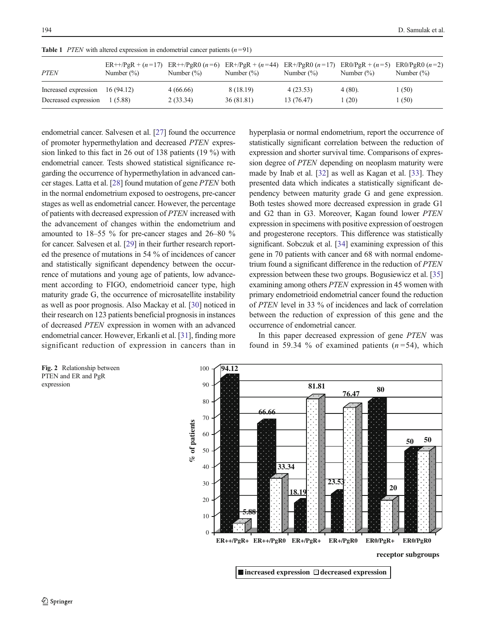| <b>PTEN</b>          | Number $(\%)$ | Number $(\% )$ | $ER+PgR + (n=17)$ $ER+PgR0 (n=6)$ $ER+PgR + (n=44)$ $ER+PgR0 (n=17)$ $ER0/PgR + (n=5)$ $ER0/PgR0 (n=2)$<br>Number $(\%)$ | Number $(\% )$ | Number $(\%)$ | Number $(\% )$ |
|----------------------|---------------|----------------|--------------------------------------------------------------------------------------------------------------------------|----------------|---------------|----------------|
| Increased expression | 16 (94.12)    | 4(66.66)       | 8 (18.19)                                                                                                                | 4(23.53)       | $4(80)$ .     | 1 (50)         |
| Decreased expression | 1 (5.88)      | 2(33.34)       | 36 (81.81)                                                                                                               | 13 (76.47)     | (20)          | 1 (50)         |

<span id="page-3-0"></span>**Table 1** PTEN with altered expression in endometrial cancer patients  $(n=91)$ 

endometrial cancer. Salvesen et al. [\[27](#page-5-0)] found the occurrence of promoter hypermethylation and decreased PTEN expression linked to this fact in 26 out of 138 patients (19 %) with endometrial cancer. Tests showed statistical significance regarding the occurrence of hypermethylation in advanced cancer stages. Latta et al. [\[28\]](#page-5-0) found mutation of gene PTEN both in the normal endometrium exposed to oestrogens, pre-cancer stages as well as endometrial cancer. However, the percentage of patients with decreased expression of PTEN increased with the advancement of changes within the endometrium and amounted to 18–55 % for pre-cancer stages and 26–80 % for cancer. Salvesen et al. [\[29\]](#page-5-0) in their further research reported the presence of mutations in 54 % of incidences of cancer and statistically significant dependency between the occurrence of mutations and young age of patients, low advancement according to FIGO, endometrioid cancer type, high maturity grade G, the occurrence of microsatellite instability as well as poor prognosis. Also Mackay et al. [[30\]](#page-5-0) noticed in their research on 123 patients beneficial prognosis in instances of decreased PTEN expression in women with an advanced endometrial cancer. However, Erkanli et al. [[31\]](#page-5-0), finding more significant reduction of expression in cancers than in hyperplasia or normal endometrium, report the occurrence of statistically significant correlation between the reduction of expression and shorter survival time. Comparisons of expression degree of PTEN depending on neoplasm maturity were made by Inab et al. [[32\]](#page-5-0) as well as Kagan et al. [\[33](#page-5-0)]. They presented data which indicates a statistically significant dependency between maturity grade G and gene expression. Both testes showed more decreased expression in grade G1 and G2 than in G3. Moreover, Kagan found lower PTEN expression in specimens with positive expression of oestrogen and progesterone receptors. This difference was statistically significant. Sobczuk et al. [\[34](#page-5-0)] examining expression of this gene in 70 patients with cancer and 68 with normal endometrium found a significant difference in the reduction of PTEN expression between these two groups. Bogusiewicz et al. [\[35](#page-5-0)] examining among others PTEN expression in 45 women with primary endometrioid endometrial cancer found the reduction of PTEN level in 33 % of incidences and lack of correlation between the reduction of expression of this gene and the occurrence of endometrial cancer.

In this paper decreased expression of gene PTEN was found in 59.34 % of examined patients  $(n=54)$ , which



Fig. 2 Relationship between PTEN and ER and PgR expression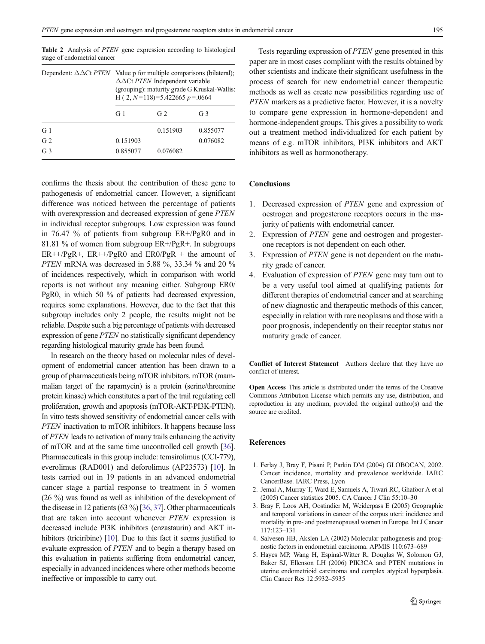|                | Dependent: $\Delta \Delta \text{C}t$ <i>PTEN</i> Value p for multiple comparisons (bilateral);<br>$\Delta \Delta$ Ct PTEN Independent variable<br>(grouping): maturity grade G Kruskal-Wallis:<br>H (2, $N=118$ ) = 5.422665 $p = 0.0664$ |                |                |  |
|----------------|-------------------------------------------------------------------------------------------------------------------------------------------------------------------------------------------------------------------------------------------|----------------|----------------|--|
|                | G <sub>1</sub>                                                                                                                                                                                                                            | G <sub>2</sub> | G <sub>3</sub> |  |
| G <sub>1</sub> |                                                                                                                                                                                                                                           | 0.151903       | 0.855077       |  |
| G <sub>2</sub> | 0.151903                                                                                                                                                                                                                                  |                | 0.076082       |  |
| G <sub>3</sub> | 0.855077                                                                                                                                                                                                                                  | 0.076082       |                |  |

<span id="page-4-0"></span>Table 2 Analysis of PTEN gene expression according to histological stage of endometrial cancer

confirms the thesis about the contribution of these gene to pathogenesis of endometrial cancer. However, a significant difference was noticed between the percentage of patients with overexpression and decreased expression of gene PTEN in individual receptor subgroups. Low expression was found in 76.47 % of patients from subgroup ER+/PgR0 and in 81.81 % of women from subgroup ER+/PgR+. In subgroups  $ER++/PgR+$ ,  $ER++/PgR0$  and  $ER0/PgR +$  the amount of PTEN mRNA was decreased in 5.88 %, 33.34 % and 20 % of incidences respectively, which in comparison with world reports is not without any meaning either. Subgroup ER0/ PgR0, in which 50 % of patients had decreased expression, requires some explanations. However, due to the fact that this subgroup includes only 2 people, the results might not be reliable. Despite such a big percentage of patients with decreased expression of gene PTEN no statistically significant dependency regarding histological maturity grade has been found.

In research on the theory based on molecular rules of development of endometrial cancer attention has been drawn to a group of pharmaceuticals being mTOR inhibitors. mTOR (mammalian target of the rapamycin) is a protein (serine/threonine protein kinase) which constitutes a part of the trail regulating cell proliferation, growth and apoptosis (mTOR-AKT-PI3K-PTEN). In vitro tests showed sensitivity of endometrial cancer cells with PTEN inactivation to mTOR inhibitors. It happens because loss of PTEN leads to activation of many trails enhancing the activity of mTOR and at the same time uncontrolled cell growth [\[36\]](#page-5-0). Pharmaceuticals in this group include: temsirolimus (CCI-779), everolimus (RAD001) and deforolimus (AP23573) [[10](#page-5-0)]. In tests carried out in 19 patients in an advanced endometrial cancer stage a partial response to treatment in 5 women (26 %) was found as well as inhibition of the development of the disease in 12 patients (63 %) [[36](#page-5-0), [37\]](#page-5-0). Other pharmaceuticals that are taken into account whenever PTEN expression is decreased include PI3K inhibitors (enzastaurin) and AKT in-hibitors (triciribine) [\[10\]](#page-5-0). Due to this fact it seems justified to evaluate expression of PTEN and to begin a therapy based on this evaluation in patients suffering from endometrial cancer, especially in advanced incidences where other methods become ineffective or impossible to carry out.

Tests regarding expression of PTEN gene presented in this paper are in most cases compliant with the results obtained by other scientists and indicate their significant usefulness in the process of search for new endometrial cancer therapeutic methods as well as create new possibilities regarding use of PTEN markers as a predictive factor. However, it is a novelty to compare gene expression in hormone-dependent and hormone-independent groups. This gives a possibility to work out a treatment method individualized for each patient by means of e.g. mTOR inhibitors, PI3K inhibitors and AKT inhibitors as well as hormonotherapy.

# **Conclusions**

- 1. Decreased expression of PTEN gene and expression of oestrogen and progesterone receptors occurs in the majority of patients with endometrial cancer.
- 2. Expression of PTEN gene and oestrogen and progesterone receptors is not dependent on each other.
- 3. Expression of PTEN gene is not dependent on the maturity grade of cancer.
- 4. Evaluation of expression of PTEN gene may turn out to be a very useful tool aimed at qualifying patients for different therapies of endometrial cancer and at searching of new diagnostic and therapeutic methods of this cancer, especially in relation with rare neoplasms and those with a poor prognosis, independently on their receptor status nor maturity grade of cancer.

Conflict of Interest Statement Authors declare that they have no conflict of interest.

Open Access This article is distributed under the terms of the Creative Commons Attribution License which permits any use, distribution, and reproduction in any medium, provided the original author(s) and the source are credited.

#### **References**

- 1. Ferlay J, Bray F, Pisani P, Parkin DM (2004) GLOBOCAN, 2002. Cancer incidence, mortality and prevalence worldwide. IARC CancerBase. IARC Press, Lyon
- 2. Jemal A, Murray T, Ward E, Samuels A, Tiwari RC, Ghafoor A et al (2005) Cancer statistics 2005. CA Cancer J Clin 55:10–30
- 3. Bray F, Loos AH, Oostindier M, Weiderpass E (2005) Geographic and temporal variations in cancer of the corpus uteri: incidence and mortality in pre- and postmenopausal women in Europe. Int J Cancer 117:123–131
- 4. Salvesen HB, Akslen LA (2002) Molecular pathogenesis and prognostic factors in endometrial carcinoma. APMIS 110:673–689
- 5. Hayes MP, Wang H, Espinal-Witter R, Douglas W, Solomon GJ, Baker SJ, Ellenson LH (2006) PIK3CA and PTEN mutations in uterine endometrioid carcinoma and complex atypical hyperplasia. Clin Cancer Res 12:5932–5935